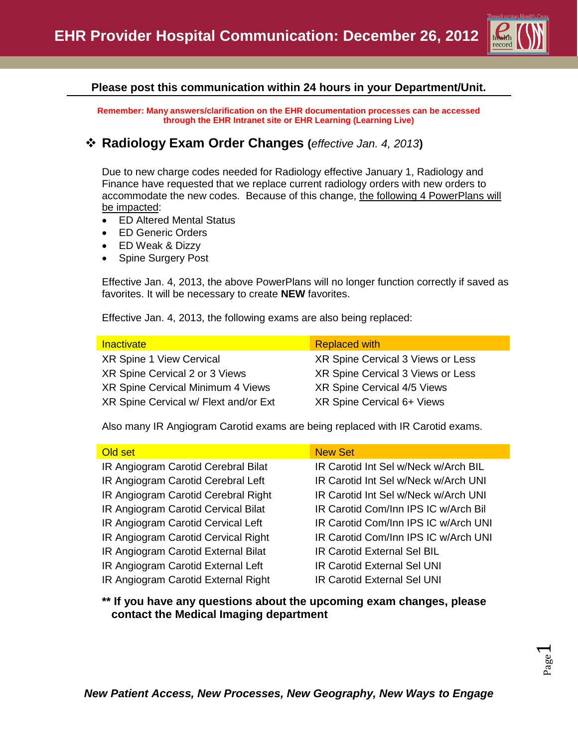

### **Please post this communication within 24 hours in your Department/Unit.**

**Remember: Many answers/clarification on the EHR documentation processes can be accessed through the EHR Intranet site or EHR Learning (Learning Live)**

## **Radiology Exam Order Changes (***effective Jan. 4, 2013***)**

Due to new charge codes needed for Radiology effective January 1, Radiology and Finance have requested that we replace current radiology orders with new orders to accommodate the new codes. Because of this change, the following 4 PowerPlans will be impacted:

- ED Altered Mental Status
- ED Generic Orders
- ED Weak & Dizzy
- Spine Surgery Post

Effective Jan. 4, 2013, the above PowerPlans will no longer function correctly if saved as favorites. It will be necessary to create **NEW** favorites.

Effective Jan. 4, 2013, the following exams are also being replaced:

XR Spine 1 View Cervical XR Spine Cervical 3 Views or Less XR Spine Cervical 2 or 3 Views XR Spine Cervical 3 Views or Less XR Spine Cervical Minimum 4 Views XR Spine Cervical 4/5 Views XR Spine Cervical w/ Flext and/or Ext XR Spine Cervical 6+ Views

### Inactivate **Replaced with**

Also many IR Angiogram Carotid exams are being replaced with IR Carotid exams.

| Old set                             | <b>New Set</b>                       |
|-------------------------------------|--------------------------------------|
| IR Angiogram Carotid Cerebral Bilat | IR Carotid Int Sel w/Neck w/Arch BIL |
| IR Angiogram Carotid Cerebral Left  | IR Carotid Int Sel w/Neck w/Arch UNI |
| IR Angiogram Carotid Cerebral Right | IR Carotid Int Sel w/Neck w/Arch UNI |
| IR Angiogram Carotid Cervical Bilat | IR Carotid Com/Inn IPS IC w/Arch Bil |
| IR Angiogram Carotid Cervical Left  | IR Carotid Com/Inn IPS IC w/Arch UNI |
| IR Angiogram Carotid Cervical Right | IR Carotid Com/Inn IPS IC w/Arch UNI |
| IR Angiogram Carotid External Bilat | <b>IR Carotid External Sel BIL</b>   |
| IR Angiogram Carotid External Left  | <b>IR Carotid External Sel UNI</b>   |
| IR Angiogram Carotid External Right | <b>IR Carotid External Sel UNI</b>   |

**\*\* If you have any questions about the upcoming exam changes, please contact the Medical Imaging department**